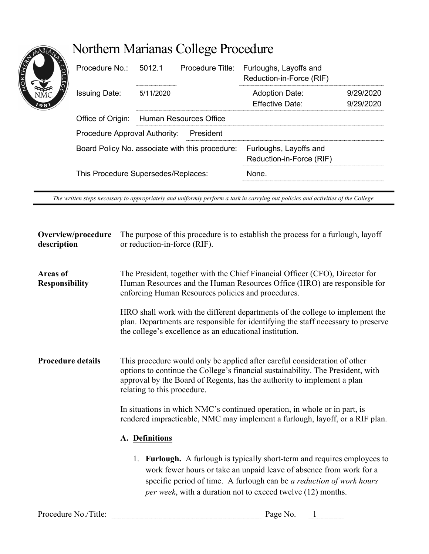| <b>ORTHUR</b><br>1981 | Procedure No.:                                  | 5012.1                        | Procedure Title: | Furloughs, Layoffs and<br>Reduction-in-Force (RIF) |                        |
|-----------------------|-------------------------------------------------|-------------------------------|------------------|----------------------------------------------------|------------------------|
|                       | <b>Issuing Date:</b>                            | 5/11/2020                     |                  | <b>Adoption Date:</b><br><b>Effective Date:</b>    | 9/29/2020<br>9/29/2020 |
|                       | Office of Origin:                               | <b>Human Resources Office</b> |                  |                                                    |                        |
|                       | Procedure Approval Authority:<br>President      |                               |                  |                                                    |                        |
|                       | Board Policy No. associate with this procedure: |                               |                  | Furloughs, Layoffs and<br>Reduction-in-Force (RIF) |                        |
|                       | This Procedure Supersedes/Replaces:             |                               |                  | None.                                              |                        |

The written steps necessary to appropriately and uniformly perform a task in carrying out policies and activities of the College.

| Overview/procedure<br>description | The purpose of this procedure is to establish the process for a furlough, layoff<br>or reduction-in-force (RIF).                                                                                                                                                                                |  |  |  |  |
|-----------------------------------|-------------------------------------------------------------------------------------------------------------------------------------------------------------------------------------------------------------------------------------------------------------------------------------------------|--|--|--|--|
| Areas of<br><b>Responsibility</b> | The President, together with the Chief Financial Officer (CFO), Director for<br>Human Resources and the Human Resources Office (HRO) are responsible for<br>enforcing Human Resources policies and procedures.                                                                                  |  |  |  |  |
|                                   | HRO shall work with the different departments of the college to implement the<br>plan. Departments are responsible for identifying the staff necessary to preserve<br>the college's excellence as an educational institution.                                                                   |  |  |  |  |
| <b>Procedure details</b>          | This procedure would only be applied after careful consideration of other<br>options to continue the College's financial sustainability. The President, with<br>approval by the Board of Regents, has the authority to implement a plan<br>relating to this procedure.                          |  |  |  |  |
|                                   | In situations in which NMC's continued operation, in whole or in part, is<br>rendered impracticable, NMC may implement a furlough, layoff, or a RIF plan.                                                                                                                                       |  |  |  |  |
|                                   | A. Definitions                                                                                                                                                                                                                                                                                  |  |  |  |  |
|                                   | 1. Furlough. A furlough is typically short-term and requires employees to<br>work fewer hours or take an unpaid leave of absence from work for a<br>specific period of time. A furlough can be a reduction of work hours<br><i>per week</i> , with a duration not to exceed twelve (12) months. |  |  |  |  |
| Procedure No./Title:              | Page No. 1                                                                                                                                                                                                                                                                                      |  |  |  |  |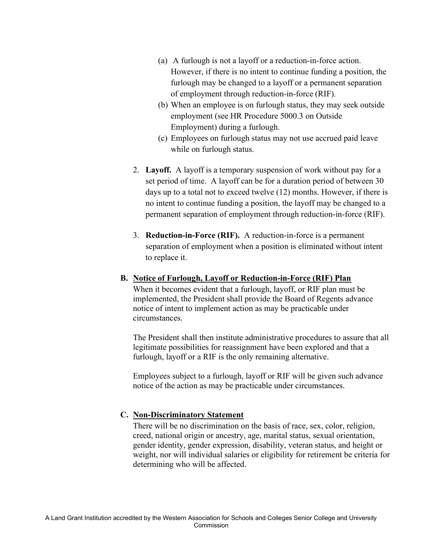- (a) A furlough is not a layoff or a reduction-in-force action. However, if there is no intent to continue funding a position, the furlough may be changed to a layoff or a permanent separation of employment through reduction-in-force (RIF).
- (b) When an employee is on furlough status, they may seek outside employment (see HR Procedure 5000.3 on Outside Employment) during a furlough.
- (c) Employees on furlough status may not use accrued paid leave while on furlough status.
- 2. Layoff. A layoff is a temporary suspension of work without pay for a set period of time. A layoff can be for a duration period of between 30 days up to a total not to exceed twelve (12) months. However, if there is no intent to continue funding a position, the layoff may be changed to a permanent separation of employment through reduction-in-force (RIF).
- 3. Reduction-in-Force (RIF). A reduction-in-force is a permanent separation of employment when a position is eliminated without intent to replace it.

#### B. Notice of Furlough, Layoff or Reduction-in-Force (RIF) Plan

When it becomes evident that a furlough, layoff, or RIF plan must be implemented, the President shall provide the Board of Regents advance notice of intent to implement action as may be practicable under circumstances.

The President shall then institute administrative procedures to assure that all legitimate possibilities for reassignment have been explored and that a furlough, layoff or a RIF is the only remaining alternative.

Employees subject to a furlough, layoff or RIF will be given such advance notice of the action as may be practicable under circumstances.

#### C. Non-Discriminatory Statement

There will be no discrimination on the basis of race, sex, color, religion, creed, national origin or ancestry, age, marital status, sexual orientation, gender identity, gender expression, disability, veteran status, and height or weight, nor will individual salaries or eligibility for retirement be criteria for determining who will be affected.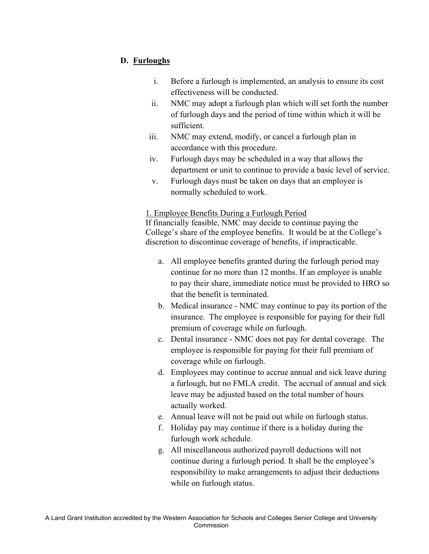# D. Furloughs

- i. Before a furlough is implemented, an analysis to ensure its cost effectiveness will be conducted.
- ii. NMC may adopt a furlough plan which will set forth the number of furlough days and the period of time within which it will be sufficient.
- iii. NMC may extend, modify, or cancel a furlough plan in accordance with this procedure.
- iv. Furlough days may be scheduled in a way that allows the department or unit to continue to provide a basic level of service.
- v. Furlough days must be taken on days that an employee is normally scheduled to work.

#### 1. Employee Benefits During a Furlough Period

If financially feasible, NMC may decide to continue paying the College's share of the employee benefits. It would be at the College's discretion to discontinue coverage of benefits, if impracticable.

- a. All employee benefits granted during the furlough period may continue for no more than 12 months. If an employee is unable to pay their share, immediate notice must be provided to HRO so that the benefit is terminated.
- b. Medical insurance NMC may continue to pay its portion of the insurance. The employee is responsible for paying for their full premium of coverage while on furlough.
- c. Dental insurance NMC does not pay for dental coverage. The employee is responsible for paying for their full premium of coverage while on furlough.
- d. Employees may continue to accrue annual and sick leave during a furlough, but no FMLA credit. The accrual of annual and sick leave may be adjusted based on the total number of hours actually worked.
- e. Annual leave will not be paid out while on furlough status.
- f. Holiday pay may continue if there is a holiday during the furlough work schedule.
- g. All miscellaneous authorized payroll deductions will not continue during a furlough period. It shall be the employee's responsibility to make arrangements to adjust their deductions while on furlough status.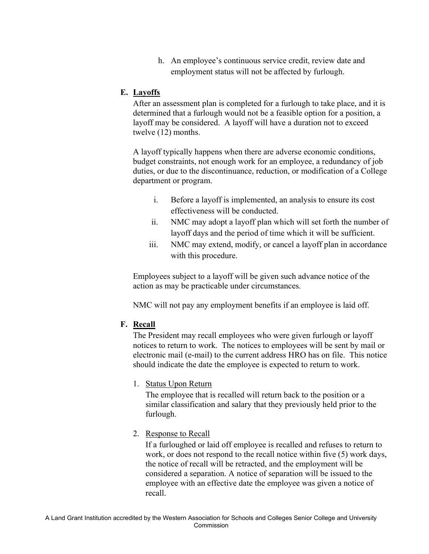h. An employee's continuous service credit, review date and employment status will not be affected by furlough.

### E. Layoffs

After an assessment plan is completed for a furlough to take place, and it is determined that a furlough would not be a feasible option for a position, a layoff may be considered. A layoff will have a duration not to exceed twelve (12) months.

A layoff typically happens when there are adverse economic conditions, budget constraints, not enough work for an employee, a redundancy of job duties, or due to the discontinuance, reduction, or modification of a College department or program.

- i. Before a layoff is implemented, an analysis to ensure its cost effectiveness will be conducted.
- ii. NMC may adopt a layoff plan which will set forth the number of layoff days and the period of time which it will be sufficient.
- iii. NMC may extend, modify, or cancel a layoff plan in accordance with this procedure.

Employees subject to a layoff will be given such advance notice of the action as may be practicable under circumstances.

NMC will not pay any employment benefits if an employee is laid off.

## F. Recall

The President may recall employees who were given furlough or layoff notices to return to work. The notices to employees will be sent by mail or electronic mail (e-mail) to the current address HRO has on file. This notice should indicate the date the employee is expected to return to work.

1. Status Upon Return

The employee that is recalled will return back to the position or a similar classification and salary that they previously held prior to the furlough.

2. Response to Recall

If a furloughed or laid off employee is recalled and refuses to return to work, or does not respond to the recall notice within five (5) work days, the notice of recall will be retracted, and the employment will be considered a separation. A notice of separation will be issued to the employee with an effective date the employee was given a notice of recall.